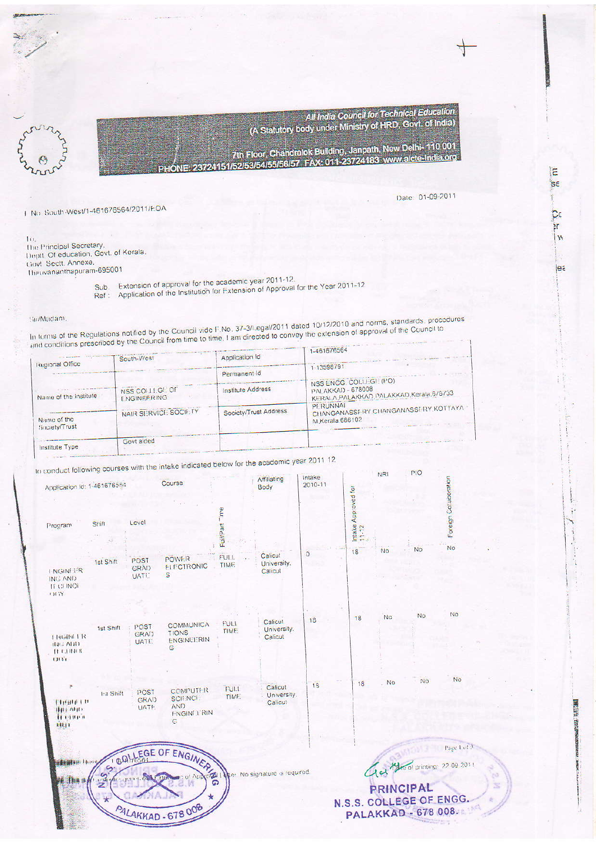All India Council for Technical Education (A Statutory body under Ministry of HRD, Govt. of India)



23724151/52/53/54/55/56/57 FAX: 011-23724183 www.aicte-India.org<br>23724151/52/53/54/55/56/57 FAX: 011-23724183 www.aicte-India.org

Date: 01-09-2011

汇  $\overline{\mathsf{se}}$ 

> Сc ۶r  $\mathbf{u}$

> > jea

**PRESSE** 

N.S.S. COLLEGE OF ENGG.

**PALAKKAD - 678 008.** 

1 No. South-West/1-461676564/2011/FOA

 $\mathbf{u}$ The Principal Secretary. The Final Deducation, Govt. of Kerala.<br>Clovt Sectt. Annexe. Thirtivananthapuram-695001

Sub. Extension of approval for the academic year 2011-12.

Ref: Application of the Institution for Extension of Approval for the Year 2011-12

Sir/Madam.

In terms of the Regulations notified by the Council vide F.No. 37-3/Legal/2011 dated 10/12/2010 and norms, standards, procedures an write or the regulatoris nothico by the Goundary vide made in the conception of the extension of approval of the Council to

|                        |                               |                       | $1 - 4616/6564$                                                     |
|------------------------|-------------------------------|-----------------------|---------------------------------------------------------------------|
|                        | South-West                    | Application Id        |                                                                     |
| <b>Regional Office</b> |                               | Permanent Id          | 1-13598791                                                          |
|                        |                               |                       | NSS ENGG. COLLEGE (PO)                                              |
| Name of the institute  | NSS COLLEGE OF<br>ENGINEERING | Institute Address     | PALAKKAD - 678008<br>KERALA, PALAKKAD, PALAKKAD, Kerala, 6/8/33     |
| Name of the            | NAIR SHRVICH SOCIF. TY        | Society/Trust Address | PERUNNAL<br>CHANGANASSF RY CHANGANASSERY KOTTAYA<br>M.Kerala.686102 |
| Society/Trust          |                               |                       |                                                                     |
| Inglifiate Type        | Govt aided                    |                       |                                                                     |

ake indicated below for the academic year 2011 12

PALAKKAD - 678 008

| to conduct following courses with the make<br>Application Id: 1-461676554 |                  |                             | Course                                                     |                               | Affiliating<br>Body               | Intake<br>$2010 - 11$ |                              | NRI       | PIO       |                             |
|---------------------------------------------------------------------------|------------------|-----------------------------|------------------------------------------------------------|-------------------------------|-----------------------------------|-----------------------|------------------------------|-----------|-----------|-----------------------------|
| Program                                                                   | Shift            | Level                       |                                                            | Time <sup>-</sup><br>FullPart |                                   |                       | Intake Approved for<br>11-12 |           |           | Foreign Collaboration<br>No |
| I NGINETR<br>ING AND<br><b>IT CHINOI</b><br><b>CHIV</b>                   | 1st Shift        | POST<br>GRÄD<br><b>UATE</b> | <b>POWER</b><br><b>ELECTRONIC</b><br>S                     | FULL<br><b>TIME</b>           | Calicut<br>University.<br>Calicut | $\overline{0}$        | 18                           | <b>No</b> | No        |                             |
| T FIGHEL FTS<br>1963 ADD<br>п симов<br>CITAT                              | 1st Shift        | POST<br>GRAD<br><b>UATE</b> | <b>COMMUNICA</b><br><b>TIONS</b><br><b>ENGINEERIN</b><br>G | <b>FULL</b><br>TIME.          | Calicut<br>University.<br>Calicut | 18                    | 18                           | No        | <b>No</b> | No.                         |
| 1119111111<br><b>IHE AFID</b><br><b>HEINER</b><br>Hitt                    | <b>Int Shift</b> | POST<br>GRAD<br>UATE.       | COMPUTER<br><b>SCIENCE</b><br>AND<br>F-NGINEE RIN<br>G     | FUL1<br>TIME:                 | Calicut<br>University.<br>Calicut | 18                    | 18                           | No        | <b>No</b> | No                          |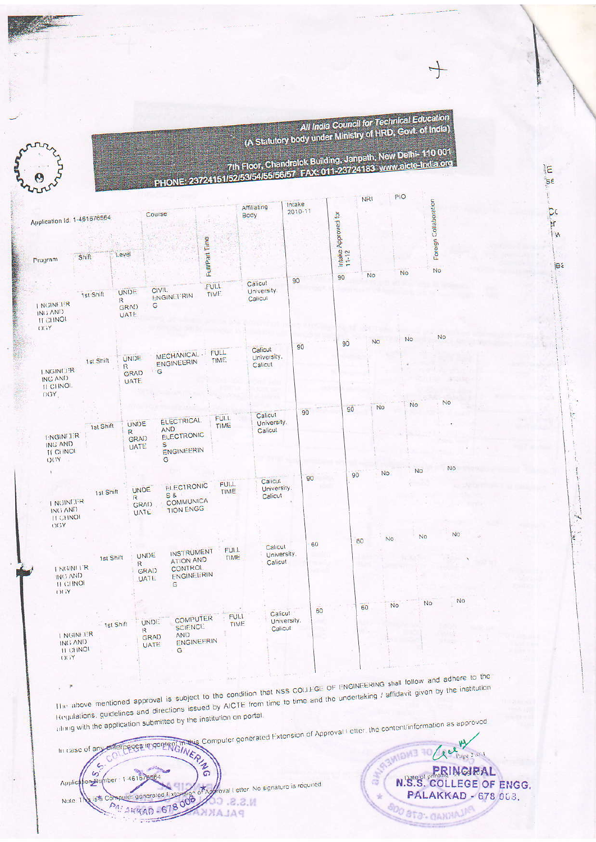All India Council for Technical Education<br>(A Statutory body under Ministry of HRD, Govt. of India) 10001

> $E$ **SE**

> > $\overline{\mathcal{C}}$ àr W

> > > jea



|  |  | 7th Floor, Chandralok Building, Janpath, New Delhi-110 001<br>TONE: 23724151/52/53/54/55/56/57 FAX: 011-23724183 www.aicte-India.org |
|--|--|--------------------------------------------------------------------------------------------------------------------------------------|
|  |  |                                                                                                                                      |
|  |  |                                                                                                                                      |
|  |  |                                                                                                                                      |

| Application Id: 1-461676564                          |                                           |                                         | Course                                                                                              | $\mathbb{R}^3$      | Affiliating<br>Body                | Intake<br>$2010 - 11$ |                              | <b>NRI</b>      | PIO       | Foreign Collaboration |
|------------------------------------------------------|-------------------------------------------|-----------------------------------------|-----------------------------------------------------------------------------------------------------|---------------------|------------------------------------|-----------------------|------------------------------|-----------------|-----------|-----------------------|
| Program                                              | Shift                                     | Level                                   |                                                                                                     | Full/Part Time      |                                    |                       | Intake Approved for<br>11-12 |                 |           |                       |
|                                                      |                                           |                                         |                                                                                                     |                     | Calicut                            | 90                    | 90                           | No              | <b>No</b> | No                    |
| I NGINETR<br>ING AND<br><b>IT CHINOL</b><br>OGY      | 1st Shift                                 | <b>UNDE</b><br>R<br>GRAD<br>UATE.       | CIVII.<br><b>ENGINEFRIN</b><br>G                                                                    | FULL<br>TIME.       | University.<br>Calicul             |                       |                              |                 |           |                       |
|                                                      |                                           |                                         | <b>MECHANICAL</b>                                                                                   | <b>FULL</b>         | Calicut                            | 90                    | 90                           | No              | No        | <b>No</b>             |
| <b>LNGINETR</b><br>ING AND<br><b>ILCHNOL</b><br>OGY. | 1st Shift                                 | <b>UNDE</b><br>R<br><b>GRAD</b><br>UATE | ENGINEERIN<br>G                                                                                     | <b>TIME</b>         | University.<br>Calicut             |                       |                              |                 |           |                       |
|                                                      |                                           |                                         |                                                                                                     |                     |                                    |                       | 90                           | No              | <b>No</b> | No                    |
| <b>ENGINEER</b>                                      | 1st Shift                                 | UNDE<br>R                               | ELECTRICAL.<br><b>AND</b><br>ELECTRONIC                                                             | FULL<br>TIME        | Calicut<br>University.<br>Calicut  | 90                    |                              |                 |           |                       |
| ING AND<br><b>IT CHINOI</b><br><b>OGY</b>            |                                           | <b>GRAD</b><br>UATE.                    | s<br>ENGINEERIN<br>Ġ                                                                                |                     |                                    |                       |                              |                 |           |                       |
| I NGINETR<br>ING AND<br><b>IT CHNOL</b>              | 1st Shift                                 | R                                       | <b>ELECTRONIC</b><br><b>UNDE</b><br>$S$ &<br><b>COMMUNICA</b><br>GRAD<br><b>TION ENGG</b><br>UATE   | <b>FULL</b><br>TIME | Calicut<br>University.<br>Calicut  | 90                    | 90                           | <b>No</b>       | No        | <b>No</b>             |
| OGY                                                  |                                           |                                         |                                                                                                     | FUI.I.              | Calicut                            | 60                    |                              | <b>No</b><br>60 |           | <b>No</b><br>No       |
| ING AND<br><b>ILCHNO</b><br><b>Yill</b>              | 1st Shift<br>I NGINETR                    | $\mathbb{R}$                            | <b>INSTRUMENT</b><br>UNDE<br><b>ATION AND</b><br>CONTROL<br><b>GRAD</b><br>ENGINEERIN<br>UATE:<br>G | <b>TIME</b>         | University.<br>Calicut             |                       |                              |                 |           |                       |
| $Yi$ $Y$                                             | I NGINETER<br>ING AND<br><b>11 CHINOI</b> | 1st Shift                               | COMPUTER<br><b>UNDE</b><br><b>SCIENCE</b><br>$\mathsf R$<br><b>AND</b><br><b>GRAD</b><br>UATE<br>G  | <b>ENGINEERIN</b>   | Calicut<br>FULL<br>TIME<br>Calicut | 60<br>University.     |                              | 60              | <b>No</b> | N<br>No               |

The above mentioned approval is subject to the condition that NSS COLLEGE OF ENGINEERING shall follow and adhere to the Regulations, guidelines and directions issued by AICTE from time to time and the undertaking / affidavit given by the institution along with the application submitted by the institution on portal.

 $\mathcal{A}$ 



N.S.S. COLLEGE OF ENGG. **PALAKKAD - 678 063.** ú **BOO STO- GANNAJI**